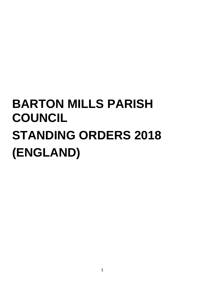# **BARTON MILLS PARISH COUNCIL STANDING ORDERS 2018 (ENGLAND)**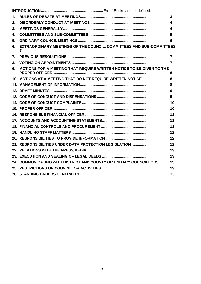| 1. |                                                                                        | 3              |
|----|----------------------------------------------------------------------------------------|----------------|
| 2. |                                                                                        | 4              |
| 3. |                                                                                        | 4              |
| 4. |                                                                                        | 5              |
| 5. |                                                                                        | 6              |
| 6. | EXTRAORDINARY MEETINGS OF THE COUNCIL, COMMITTEES AND SUB-COMMITTEES<br>$\overline{7}$ |                |
| 7. |                                                                                        | $\overline{7}$ |
| 8. |                                                                                        | 7              |
| 9. | <b>MOTIONS FOR A MEETING THAT REQUIRE WRITTEN NOTICE TO BE GIVEN TO THE</b>            | 8              |
|    | 10. MOTIONS AT A MEETING THAT DO NOT REQUIRE WRITTEN NOTICE                            | 8              |
|    |                                                                                        | 8              |
|    |                                                                                        | 9              |
|    |                                                                                        | 9              |
|    |                                                                                        | 10             |
|    |                                                                                        | 10             |
|    |                                                                                        | 11             |
|    |                                                                                        | 11             |
|    |                                                                                        | 11             |
|    |                                                                                        | 12             |
|    |                                                                                        | 12             |
|    | 21. RESPONSIBILITIES UNDER DATA PROTECTION LEGISLATION                                 | 12             |
|    |                                                                                        | 13             |
|    |                                                                                        | 13             |
|    | 24. COMMUNICATING WITH DISTRICT AND COUNTY OR UNITARY COUNCILLORS                      | 13             |
|    |                                                                                        | 13             |
|    |                                                                                        | 13             |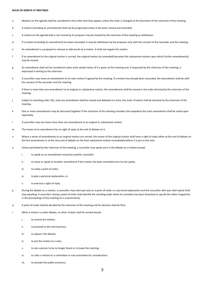### <span id="page-2-0"></span>**RULES OF DEBATE AT MEETINGS**

- a Motions on the agenda shall be considered in the order that they appear unless the order is changed at the discretion of the chairman of the meeting.
- b A motion (including an amendment) shall not be progressed unless it has been moved and seconded.
- c A motion on the agenda that is not moved by its proposer may be treated by the chairman of the meeting as withdrawn.
- d If a motion (including an amendment) has been seconded, it may be withdrawn by the proposer only with the consent of the seconder and the meeting.
- e An amendment is a proposal to remove or add words to a motion. It shall not negate the motion.
- f If an amendment to the original motion is carried, the original motion (as amended) becomes the substantive motion upon which further amendment(s) may be moved.
- g An amendment shall not be considered unless early verbal notice of it is given at the meeting and, if requested by the chairman of the meeting, is expressed in writing to the chairman.
- h A councillor may move an amendment to his own motion if agreed by the meeting. If a motion has already been seconded, the amendment shall be with the consent of the seconder and the meeting.
- i If there is more than one amendment to an original or substantive motion, the amendments shall be moved in the order directed by the chairman of the meeting.
- j Subject to standing order 1(k), only one amendment shall be moved and debated at a time, the order of which shall be directed by the chairman of the meeting.
- k One or more amendments may be discussed together if the chairman of the meeting considers this expedient but each amendment shall be voted upon separately.
- l A councillor may not move more than one amendment to an original or substantive motion.
- m The mover of an amendment has no right of reply at the end of debate on it.
- n Where a series of amendments to an original motion are carried, the mover of the original motion shall have a right of reply either at the end of debate on the first amendment or at the very end of debate on the final substantive motion immediately before it is put to the vote.
- o Unless permitted by the chairman of the meeting, a councillor may speak once in the debate on a motion except:
	- i. to speak on an amendment moved by another councillor:
	- ii. to move or speak on another amendment if the motion has been amended since he last spoke;
	- iii. to make a point of order;
	- iv. to give a personal explanation; or
	- v. to exercise a right of reply.
- p During the debate on a motion, a councillor may interrupt only on a point of order or a personal explanation and the councillor who was interrupted shall stop speaking. A councillor raising a point of order shall identify the standing order which he considers has been breached or specify the other irregularity in the proceedings of the meeting he is concerned by.
- q A point of order shall be decided by the chairman of the meeting and his decision shall be final.
- r When a motion is under debate, no other motion shall be moved except:
	- i. to amend the motion;
	- ii. to proceed to the next business;
	- iii. to adjourn the debate;
	- iv. to put the motion to a vote;
	- v. to ask a person to be no longer heard or to leave the meeting;
	- vi. to refer a motion to a committee or sub-committee for consideration;
	- vii. to exclude the public and press;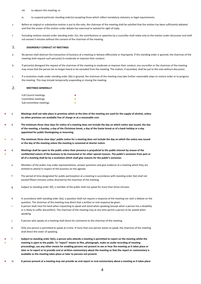- viii. to adjourn the meeting; or
- ix. to suspend particular standing order(s) excepting those which reflect mandatory statutory or legal requirements.
- s Before an original or substantive motion is put to the vote, the chairman of the meeting shall be satisfied that the motion has been sufficiently debated and that the mover of the motion under debate has exercised or waived his right of reply.
- t Excluding motions moved under standing order 1(r), the contributions or speeches by a councillor shall relate only to the motion under discussion and shall not exceed 3 minutes without the consent of the chairman of the meeting.

# <span id="page-3-0"></span>1. **DISORDERLY CONDUCT AT MEETINGS**

- a No person shall obstruct the transaction of business at a meeting or behave offensively or improperly. If this standing order is ignored, the chairman of the meeting shall request such person(s) to moderate or improve their conduct.
- b If person(s) disregard the request of the chairman of the meeting to moderate or improve their conduct, any councillor or the chairman of the meeting may move that the person be no longer heard or be excluded from the meeting. The motion, if seconded, shall be put to the vote without discussion.
- c If a resolution made under standing order 2(b) is ignored, the chairman of the meeting may take further reasonable steps to restore order or to progress the meeting. This may include temporarily suspending or closing the meeting.

### <span id="page-3-1"></span>2. **MEETINGS GENERALLY**

● ●

| <b>Full Council meetings</b> |  |
|------------------------------|--|
| Committee meetings           |  |
| Sub-committee meetings       |  |

- a **Meetings shall not take place in premises which at the time of the meeting are used for the supply of alcohol, unless no other premises are available free of charge or at a reasonable cost.**
- b **The minimum three clear days for notice of a meeting does not include the day on which notice was issued, the day of the meeting, a Sunday, a day of the Christmas break, a day of the Easter break or of a bank holiday or a day appointed for public thanksgiving or mourning.**
- c **The minimum three clear days' public notice for a meeting does not include the day on which the notice was issued or the day of the meeting unless the meeting is convened at shorter notice.**
- ● d **Meetings shall be open to the public unless their presence is prejudicial to the public interest by reason of the confidential nature of the business to be transacted or for other special reasons. The public's exclusion from part or all of a meeting shall be by a resolution which shall give reasons for the public's exclusion.**
	- e Members of the public may make representations, answer questions and give evidence at a meeting which they are entitled to attend in respect of the business on the agenda.
	- f The period of time designated for public participation at a meeting in accordance with standing order 3(e) shall not exceed fifteen minutes unless directed by the chairman of the meeting.
	- g Subject to standing order 3(f), a member of the public shall not speak for more than three minutes.
	- h In accordance with standing order 3(e), a question shall not require a response at the meeting nor start a debate on the question. The chairman of the meeting may direct that a written or oral response be given. i A person shall raise his hand when requesting to speak and stand when speaking (except when a person has a disability or is likely to suffer discomfort). The chairman of the meeting may at any time permit a person to be seated when speaking.
	- j A person who speaks at a meeting shall direct his comments to the chairman of the meeting.
	- Only one person is permitted to speak at a time. If more than one person wants to speak, the chairman of the meeting shall direct the order of speaking.
- l **Subject to standing order 3(m), a person who attends a meeting is permitted to report on the meeting whilst the meeting is open to the public. To "report" means to film, photograph, make an audio recording of meeting proceedings, use any other means for enabling persons not present to see or hear the meeting as it takes place or later or to report or to provide oral or written commentary about the meeting so that the report or commentary is available as the meeting takes place or later to persons not present.**
- m **A person present at a meeting may not provide an oral report or oral commentary about a meeting as it takes place**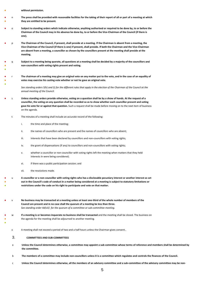without permission.

●

●

●

- ● n **The press shall be provided with reasonable facilities for the taking of their report of all or part of a meeting at which they are entitled to be present.**
- o **Subject to standing orders which indicate otherwise, anything authorised or required to be done by, to or before the Chairman of the Council may in his absence be done by, to or before the Vice-Chairman of the Council (if there is one).**
- p **The Chairman of the Council, if present, shall preside at a meeting. If the Chairman is absent from a meeting, the Vice-Chairman of the Council (if there is one) if present, shall preside. If both the Chairman and the Vice-Chairman are absent from a meeting, a councillor as chosen by the councillors present at the meeting shall preside at the meeting.**
- ● q **Subject to a meeting being quorate, all questions at a meeting shall be decided by a majority of the councillors and non-councillors with voting rights present and voting.**
- ● r **The chairman of a meeting may give an original vote on any matter put to the vote, and in the case of an equality of votes may exercise his casting vote whether or not he gave an original vote.**

*See standing orders 5(h) and (i) for the different rules that apply in the election of the Chairman of the Council at the annual meeting of the Council.*

- s **Unless standing orders provide otherwise, voting on a question shall be by a show of hands. At the request of a councillor, the voting on any question shall be recorded so as to show whether each councillor present and voting gave his vote for or against that question.** Such a request shall be made before moving on to the next item of business on the agenda.
	- t The minutes of a meeting shall include an accurate record of the following:
		- i. the time and place of the meeting;
		- ii. the names of councillors who are present and the names of councillors who are absent;
		- iii. interests that have been declared by councillors and non-councillors with voting rights;
		- iv. the grant of dispensations (if any) to councillors and non-councillors with voting rights;
		- v. whether a councillor or non-councillor with voting rights left the meeting when matters that they held interests in were being considered;
		- vi. if there was a public participation session; and
		- vii. the resolutions made.
- ● ● u **A councillor or a non-councillor with voting rights who has a disclosable pecuniary interest or another interest as set out in the Council's code of conduct in a matter being considered at a meeting is subject to statutory limitations or restrictions under the code on his right to participate and vote on that matter.**
- No business may be transacted at a meeting unless at least one-third of the whole number of members of the **Council are present and in no case shall the quorum of a meeting be less than three.** *See standing order 4d(viii) for the quorum of a committee or sub-committee meeting.*
- ● w **If a meeting is or becomes inquorate no business shall be transacted** and the meeting shall be closed. The business on the agenda for the meeting shall be adjourned to another meeting.
	- x A meeting shall not exceed a period of two and a half hours unless the Chairman gives consent..

# <span id="page-4-0"></span>3. **COMMITTEES AND SUB-COMMITTEES**

- a **Unless the Council determines otherwise, a committee may appoint a sub-committee whose terms of reference and members shall be determined by the committee.**
- b **The members of a committee may include non-councillors unless it is a committee which regulates and controls the finances of the Council.**
- c **Unless the Council determines otherwise, all the members of an advisory committee and a sub-committee of the advisory committee may be non-**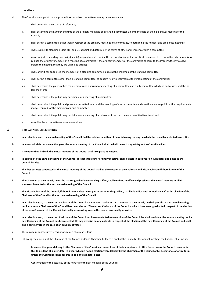### **councillors.**

- d The Council may appoint standing committees or other committees as may be necessary, and:
	- i. shall determine their terms of reference;
	- ii. shall determine the number and time of the ordinary meetings of a standing committee up until the date of the next annual meeting of the Council;
	- iii. shall permit a committee, other than in respect of the ordinary meetings of a committee, to determine the number and time of its meetings;
	- iv. shall, subject to standing orders 4(b) and (c), appoint and determine the terms of office of members of such a committee;
	- v. may, subject to standing orders 4(b) and (c), appoint and determine the terms of office of the substitute members to a committee whose role is to replace the ordinary members at a meeting of a committee if the ordinary members of the committee confirm to the Proper Officer two days before the meeting that they are unable to attend;
	- vi. shall, after it has appointed the members of a standing committee, appoint the chairman of the standing committee;
	- vii. shall permit a committee other than a standing committee, to appoint its own chairman at the first meeting of the committee;
	- viii. shall determine the place, notice requirements and quorum for a meeting of a committee and a sub-committee which, in both cases, shall be no less than three;
	- ix. shall determine if the public may participate at a meeting of a committee;
	- x. shall determine if the public and press are permitted to attend the meetings of a sub-committee and also the advance public notice requirements, if any, required for the meetings of a sub-committee;
	- xi. shall determine if the public may participate at a meeting of a sub-committee that they are permitted to attend; and
	- xii. may dissolve a committee or a sub-committee.

### <span id="page-5-0"></span>4. **ORDINARY COUNCIL MEETINGS**

- a **In an election year, the annual meeting of the Council shall be held on or within 14 days following the day on which the councillors elected take office.**
- b **In a year which is not an election year, the annual meeting of the Council shall be held on such day in May as the Council decides.**
- c **If no other time is fixed, the annual meeting of the Council shall take place at 7:30pm.**
- d **In addition to the annual meeting of the Council, at least three other ordinary meetings shall be held in each year on such dates and times as the Council decides.**
- e **The first business conducted at the annual meeting of the Council shall be the election of the Chairman and Vice-Chairman (if there is one) of the Council.**
- The Chairman of the Council, unless he has resigned or becomes disqualified, shall continue in office and preside at the annual meeting until his **successor is elected at the next annual meeting of the Council.**
- g **The Vice-Chairman of the Council, if there is one, unless he resigns or becomes disqualified, shall hold office until immediately after the election of the Chairman of the Council at the next annual meeting of the Council.**
- h **In an election year, if the current Chairman of the Council has not been re-elected as a member of the Council, he shall preside at the annual meeting until a successor Chairman of the Council has been elected. The current Chairman of the Council shall not have an original vote in respect of the election of the new Chairman of the Council but shall give a casting vote in the case of an equality of votes.**
- i **In an election year, if the current Chairman of the Council has been re-elected as a member of the Council, he shall preside at the annual meeting until a new Chairman of the Council has been elected. He may exercise an original vote in respect of the election of the new Chairman of the Council and shall give a casting vote in the case of an equality of votes.**
- j The maximum consectutive terms of office of a chairman is four.
- k Following the election of the Chairman of the Council and Vice-Chairman (if there is one) of the Council at the annual meeting, the business shall include:
	- i. **In an election year, delivery by the Chairman of the Council and councillors of their acceptance of office forms unless the Council resolves for this to be done at a later date. In a year which is not an election year, delivery by the Chairman of the Council of his acceptance of office form unless the Council resolves for this to be done at a later date;**
	- ii. Confirmation of the accuracy of the minutes of the last meeting of the Council;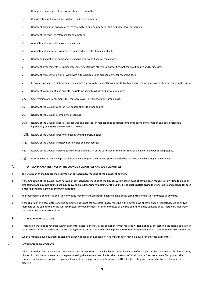- jij. Receipt of the minutes of the last meeting of a committee;
- iv. Consideration of the recommendations made by a committee;
- v. Review of delegation arrangements to committees, sub-committees, staff and other local authorities;
- V<sub>i.</sub> Review of the terms of reference for committees;
- VII. Appointment of members to existing committees;
- viii. Appointment of any new committees in accordance with standing order 4;
- ix. Review and adoption of appropriate standing orders and financial regulations;
- x. Review of arrangements (including legal agreements) with other local authorities, not-for-profit bodies and businesses.
- xi. Review of representation on or work with external bodies and arrangements for reporting back;
- xii. In an election year, to make arrangements with a view to the Council becoming eligible to exercise the general power of competence in the future;
- xiii. Review of inventory of land and other assets including buildings and office equipment;
- xiv. Confirmation of arrangements for insurance cover in respect of all insurable risks;
- xv. Review of the Council's and/or staff subscriptions to other bodies;
- xvi. Review of the Council's complaints procedure;
- xvii. Review of the Council's policies, procedures and practices in respect of its obligations under freedom of information and data protection legislation (*see also standing orders 11, 20 and 21*);
- xviii. Review of the Council's policy for dealing with the press/media;
- xix. Review of the Council's employment policies and procedures;
- xx. Review of the Council's expenditure incurred under s.137 of the Local Government Act 1972 or the general power of competence.
- xxi. Determining the time and place of ordinary meetings of the Council up to and including the next annual meeting of the Council.

# <span id="page-6-0"></span>5. **EXTRAORDINARY MEETINGS OF THE COUNCIL, COMMITTEES AND SUB-COMMITTEES**

- a **The Chairman of the Council may convene an extraordinary meeting of the Council at any time.**
- b **If the Chairman of the Council does not call an extraordinary meeting of the Council within seven days of having been requested in writing to do so by two councillors, any two councillors may convene an extraordinary meeting of the Council. The public notice giving the time, place and agenda for such a meeting shall be signed by the two councillors.**
- c The chairman of a committee or a sub-committee may convene an extraordinary meeting of the committee or the sub-committee at any time.
- d If the chairman of a committee or a sub-committee does not call an extraordinary meeting within seven days of having been requested to do so by two members of the committee or the sub-committee, any two members of the committee or the sub-committee may convene an extraordinary meeting of the committee or a sub-committee.

### <span id="page-6-1"></span>6. **PREVIOUS RESOLUTIONS**

- a A resolution shall not be reversed within six months except either by a special motion, which requires written notice by at least two councillors to be given to the Proper Officer in accordance with standing order 9, or by a motion moved in pursuance of the recommendation of a committee or a sub-committee.
- b When a motion moved pursuant to standing order 7(a) has been disposed of, no similar motion may be moved for a further six months.

### <span id="page-6-2"></span>7. **VOTING ON APPOINTMENTS**

**a** Where more than two persons have been nominated for a position to be filled by the Council and none of those persons has received an absolute majority of votes in their favour, the name of the person having the least number of votes shall be struck off the list and a fresh vote taken. This process shall continue until a majority of votes is given in favour of one person. A tie in votes may be settled by the casting vote exercisable by the chairman of the meeting.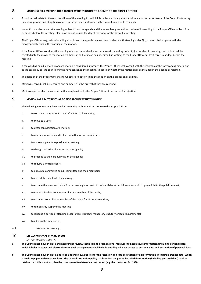# <span id="page-7-0"></span>8. **MOTIONS FOR A MEETING THAT REQUIRE WRITTEN NOTICE TO BE GIVEN TO THE PROPER OFFICER**

- a A motion shall relate to the responsibilities of the meeting for which it is tabled and in any event shall relate to the performance of the Council's statutory functions, powers and obligations or an issue which specifically affects the Council's area or its residents.
- b No motion may be moved at a meeting unless it is on the agenda and the mover has given written notice of its wording to the Proper Officer at least five clear days before the meeting. Clear days do not include the day of the notice or the day of the meeting.
- c The Proper Officer may, before including a motion on the agenda received in accordance with standing order 9(b), correct obvious grammatical or typographical errors in the wording of the motion.
- d If the Proper Officer considers the wording of a motion received in accordance with standing order 9(b) is not clear in meaning, the motion shall be rejected until the mover of the motion resubmits it, so that it can be understood, in writing, to the Proper Officer at least three clear days before the meeting.
- e If the wording or subject of a proposed motion is considered improper, the Proper Officer shall consult with the chairman of the forthcoming meeting or, as the case may be, the councillors who have convened the meeting, to consider whether the motion shall be included in the agenda or rejected.
- f The decision of the Proper Officer as to whether or not to include the motion on the agenda shall be final.
- g Motions received shall be recorded and numbered in the order that they are received.
- h Motions rejected shall be recorded with an explanation by the Proper Officer of the reason for rejection.

# <span id="page-7-1"></span>9. **MOTIONS AT A MEETING THAT DO NOT REQUIRE WRITTEN NOTICE**

- a The following motions may be moved at a meeting without written notice to the Proper Officer:
	- i. to correct an inaccuracy in the draft minutes of a meeting;
	- ii. to move to a vote;
	- iii. to defer consideration of a motion;
	- iv. to refer a motion to a particular committee or sub-committee;
	- v. to appoint a person to preside at a meeting;
	- vi. to change the order of business on the agenda;
	- vii. to proceed to the next business on the agenda;
	- viii. to require a written report;
	- ix. to appoint a committee or sub-committee and their members;
	- x. to extend the time limits for speaking;
	- xi. to exclude the press and public from a meeting in respect of confidential or other information which is prejudicial to the public interest;
	- xii. to not hear further from a councillor or a member of the public;
	- xiii. to exclude a councillor or member of the public for disorderly conduct;
	- xiv. to temporarily suspend the meeting;
	- xv. to suspend a particular standing order (unless it reflects mandatory statutory or legal requirements);
	- xvi. to adjourn the meeting; or
- xvii. to close the meeting.

# <span id="page-7-2"></span>10. **MANAGEMENT OF INFORMATION**

*See also standing order 20.*

- a **The Council shall have in place and keep under review, technical and organisational measures to keep secure information (including personal data) which it holds in paper and electronic form. Such arrangements shall include deciding who has access to personal data and encryption of personal data.**
- b **The Council shall have in place, and keep under review, policies for the retention and safe destruction of all information (including personal data) which it holds in paper and electronic form. The Council's retention policy shall confirm the period for which information (including personal data) shall be retained or if this is not possible the criteria used to determine that period (e.g. the Limitation Act 1980).**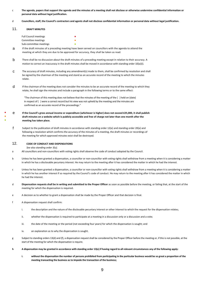- c **The agenda, papers that support the agenda and the minutes of a meeting shall not disclose or otherwise undermine confidential information or personal data without legal justification.**
- d **Councillors, staff, the Council's contractors and agents shall not disclose confidential information or personal data without legal justification.**

# <span id="page-8-0"></span>11. **DRAFT MINUTES**

● ● ●

| <b>Full Council meetings</b> | ٠ |
|------------------------------|---|
| Committee meetings           | ٠ |
| Sub-committee meetings       | ● |

a If the draft minutes of a preceding meeting have been served on councillors with the agenda to attend the meeting at which they are due to be approved for accuracy, they shall be taken as read.

- b There shall be no discussion about the draft minutes of a preceding meeting except in relation to their accuracy. A motion to correct an inaccuracy in the draft minutes shall be moved in accordance with standing order 10(a)(i).
- c The accuracy of draft minutes, including any amendment(s) made to them, shall be confirmed by resolution and shall be signed by the chairman of the meeting and stand as an accurate record of the meeting to which the minutes relate.
- $d$  If the chairman of the meeting does not consider the minutes to be an accurate record of the meeting to which they relate, he shall sign the minutes and include a paragraph in the following terms or to the same effect:

"The chairman of this meeting does not believe that the minutes of the meeting of the ( ) held on (date) in respect of ( ) were a correct record but his view was not upheld by the meeting and the minutes are confirmed as an accurate record of the proceedings."

# e **If the Council's gross annual income or expenditure (whichever is higher) does not exceed £25,000, it shall publish draft minutes on a website which is publicly accessible and free of charge not later than one month after the meeting has taken place.**

f Subject to the publication of draft minutes in accordance with standing order 12(e) and standing order 20(a) and following a resolution which confirms the accuracy of the minutes of a meeting, the draft minutes or recordings of the meeting for which approved minutes exist shall be destroyed.

# <span id="page-8-1"></span>12. **CODE OF CONDUCT AND DISPENSATIONS**

*See also standing order 3(u).*

- a All councillors and non-councillors with voting rights shall observe the code of conduct adopted by the Council.
- b Unless he has been granted a dispensation, a councillor or non-councillor with voting rights shall withdraw from a meeting when it is considering a matter in which he has a disclosable pecuniary interest. He may return to the meeting after it has considered the matter in which he had the interest.
- c Unless he has been granted a dispensation, a councillor or non-councillor with voting rights shall withdraw from a meeting when it is considering a matter in which he has another interest if so required by the Council's code of conduct. He may return to the meeting after it has considered the matter in which he had the interest.
- d **Dispensation requests shall be in writing and submitted to the Proper Officer** as soon as possible before the meeting, or failing that, at the start of the meeting for which the dispensation is required.
- e A decision as to whether to grant a dispensation shall be made by the Proper Officer and that decision is final.
- f A dispensation request shall confirm:
	- i. the description and the nature of the disclosable pecuniary interest or other interest to which the request for the dispensation relates;
	- ii. whether the dispensation is required to participate at a meeting in a discussion only or a discussion and a vote;
	- iii. the date of the meeting or the period (not exceeding four years) for which the dispensation is sought; and
	- iv. an explanation as to why the dispensation is sought.
- g Subject to standing orders 13(d) and (f), a dispensation requestshall be considered by the Proper Officer before the meeting or, if this is not possible, at the start of the meeting for which the dispensation is require.
- **h A dispensation may be granted in accordance with standing order 13(e) if having regard to all relevant circumstances any of the following apply:**
	- **i. without the dispensation the number of persons prohibited from participating in the particular business would be so great a proportion of the meeting transacting the business as to impede the transaction of the business;**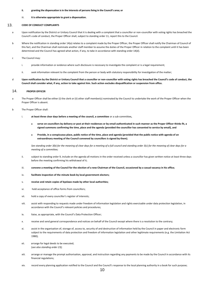### **ii. granting the dispensation is in the interests of persons living in the Council's area; or**

### iii. **it is otherwise appropriate to grant a dispensation.**

# <span id="page-9-0"></span>13. **CODE OF CONDUCT COMPLAINTS**

- a Upon notification by the District or Unitary Council that it is dealing with a complaint that a councillor or non-councillor with voting rights has breached the Council's code of conduct, the Proper Officer shall, subject to standing order 11, report this to the Council.
- b Where the notification in standing order 14(a) relates to a complaint made by the Proper Officer, the Proper Officer shall notify the Chairman of Council of this fact, and the Chairman shall nominate another staff member to assume the duties of the Proper Officer in relation to the complaint until it has been determined and the Council has agreed what action, if any, to take in accordance with standing order 14(d).
- c The Council may:
	- i. provide information or evidence where such disclosure is necessary to investigate the complaint or is a legal requirement;
	- ii. seek information relevant to the complaint from the person or body with statutory responsibility for investigation of the matter;
- d **Upon notification by the District or Unitary Council that a councillor or non-councillor with voting rights has breached the Council's code of conduct, the Council shall consider what, if any, action to take against him. Such action excludes disqualification or suspension from office.**

# <span id="page-9-1"></span>14. **PROPER OFFICER**

- a The Proper Officer shall be either (i) the clerk or (ii) other staff member(s) nominated by the Council to undertake the work of the Proper Officer when the Proper Officer is absent.
- b The Proper Officer shall:
	- i. **at least three clear days before a meeting of the council, a committee** or a sub-committee**,**
		- **serve on councillors by delivery or post at their residences or by email authenticated in such manner as the Proper Officer thinks fit, a signed summons confirming the time, place and the agenda (provided the councillor has consented to service by email), and**
		- **Provide, in a conspicuous place, public notice of the time, place and agenda (provided that the public notice with agenda of an extraordinary meeting of the Council convened by councillors is signed by them).**

*See standing order 3(b) for the meaning of clear days for a meeting of a full council and standing order 3(c) for the meaning of clear days for a meeting of a committee;*

- ii. subject to standing order 9, include on the agenda all motions in the order received unless a councillor has given written notice at least three days before the meeting confirming his withdrawal of it;
- iii. **convene a meeting of the Council for the election of a new Chairman of the Council, occasioned by a casual vacancy in his office;**
- iv. **facilitate inspection of the minute book by local government electors;**
- v. **receive and retain copies of byelaws made by other local authorities;**
- vi. hold acceptance of office forms from councillors;
- vii. hold a copy of every councillor's register of interests;
- viii. assist with responding to requests made under freedom of information legislation and rights exercisable under data protection legislation, in accordance with the Council's relevant policies and procedures;
- ix. liaise, as appropriate, with the Council's Data Protection Officer;
- x. receive and send general correspondence and notices on behalf of the Council except where there is a resolution to the contrary;
- xi. assist in the organisation of, storage of, access to, security of and destruction of information held by the Council in paper and electronic form subject to the requirements of data protection and freedom of information legislation and other legitimate requirements (e.g. the Limitation Act 1980);
- xii. arrange for legal deeds to be executed; (*see also standing order 23);*
- xiii. arrange or manage the prompt authorisation, approval, and instruction regarding any payments to be made by the Council in accordance with its financial regulations;
- xiv. record every planning application notified to the Council and the Council's response to the local planning authority in a book for such purpose;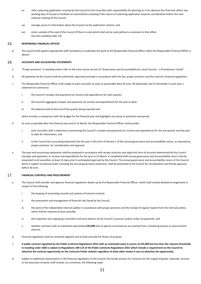- xv. refer a planning application received by the Council to the Councillor with responsibility for planning or in his absence the Chairman within two working days of receipt to facilitate an extraordinary meeting if the nature of a planning application requires consideration before the next ordinary meeting of the Council.
- xvi. manage access to information about the Council via the publication scheme; and
- xvii. retain custody of the seal of the Council (if there is one) which shall not be used without a resolution to that effect. (s*ee also standing order 23).*

# <span id="page-10-0"></span>15. **RESPONSIBLE FINANCIAL OFFICER**

**a** The Council shall appoint appropriate staff member(s) to undertake the work of the Responsible Financial Officer when the Responsible Financial Officer is absent.

# <span id="page-10-1"></span>16. **ACCOUNTS AND ACCOUNTING STATEMENTS**

- a "Proper practices" in standing orders refer to the most recent version of "Governance and Accountability for Local Councils a Practitioners' Guide".
- b All payments by the Council shall be authorised, approved and paid in accordance with the law, proper practices and the Council's financial regulations.
- c The Responsible Financial Officer shall supply to each councillor as soon as practicable after 30 June, 30 September and 31 December in each year a statement to summarise:
	- i. the Council's receipts and payments (or income and expenditure) for each quarter;
	- ii. the Council's aggregate receipts and payments (or income and expenditure) for the year to date;
	- iii. the balances held at the end of the quarter being reported and

which includes a comparison with the budget for the financial year and highlights any actual or potential overspends.

- d As soon as possible after the financial year end at 31 March, the Responsible Financial Officer shall provide:
	- i. each councillor with a statement summarising the Council's receipts and payments (or income and expenditure) for the last quarter and the year to date for information; and
	- ii. to the Council the accounting statements for the year in the form of Section 1 of the annual governance and accountability return, as required by proper practices, for consideration and approval.
- e The year-end accounting statements shall be prepared in accordance with proper practices and apply the form of accounts determined by the Council (receipts and payments, or income and expenditure) for the year to 31 March. A completed draft annual governance and accountability return shall be presented to all councillors at least 14 days prior to anticipated approval by the Council. The annual governance and accountability return of the Council, which is subject to external audit, including the annual governance statement, shall be presented to the Council for consideration and formal approval before 30 June.

# <span id="page-10-2"></span>17. **FINANCIAL CONTROLS AND PROCUREMENT**

- a. The Council shall consider and approve financial regulations drawn up by the Responsible Financial Officer, which shall include detailed arrangements in respect of the following:
	- i. the keeping of accounting records and systems of internal controls;
	- ii. the assessment and management of financial risks faced by the Council;
	- iii. the work of the independent internal auditor in accordance with proper practices and the receipt of regular reports from the internal auditor, which shall be required at least annually:
	- iv. the inspection and copying by councillors and local electors of the Council's accounts and/or orders of payments; and
	- v. whether contracts with an estimated value below **£25,000** due to special circumstances are exempt from a tendering process or procurement exercise.
- b. Financial regulations shall be reviewed regularly and at least annually for fitness of purpose.
- c. **A public contract regulated by the Public Contracts Regulations 2015 with an estimated value in excess of £25,000 but less than the relevant thresholds in standing order 18(f) is subject to Regulations 109-114 of the Public Contracts Regulations 2015 which include a requirement on the Council to advertise the contract opportunity on the Contracts Finder website regardless of what other means it uses to advertise the opportunity.**
- d. Subject to additional requirements in the financial regulations of the Council, the tender process for contracts for the supply of goods, materials, services or the execution of works shall include, as a minimum, the following steps: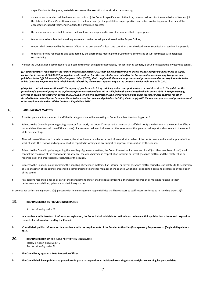- i. a specification for the goods, materials, services or the execution of works shall be drawn up;
- ii. an invitation to tender shall be drawn up to confirm (i) the Council's specification (ii) the time, date and address for the submission of tenders (iii) the date of the Council's written response to the tender and (iv) the prohibition on prospective contractors contacting councillors or staff to encourage or support their tender outside the prescribed process;
- iii. the invitation to tender shall be advertised in a local newspaper and in any other manner that is appropriate;
- iv. tenders are to be submitted in writing in a sealed marked envelope addressed to the Proper Officer;
- v. tenders shall be opened by the Proper Officer in the presence of at least one councillor after the deadline for submission of tenders has passed;
- vi. tenders are to be reported to and considered by the appropriate meeting of the Council or a committee or sub-committee with delegated responsibility.
- e. Neither the Council, nor a committee or a sub-committee with delegated responsibility for considering tenders, is bound to accept the lowest value tender.

*f) A public contract regulated by the Public Contracts Regulations 2015 with an estimated value in excess of £189,330 for a public service or supply contract or in excess of £4,733,252 for a public works contract (or other thresholds determined by the European Commission every two years and published in the Official Journal of the European Union (OJEU)) shall comply with the relevant procurement procedures and other requirements in the Public Contracts Regulations 2015 which include advertising the contract opportunity on the Contracts Finder website and in OJEU.*

*g) A public contract in connection with the supply of gas, heat, electricity, drinking water, transport services, or postal services to the public; or the provision of a port or airport; or the exploration for or extraction of gas, oil or solid fuel with an estimated value in excess of £378,660 for a supply, services or design contract; or in excess of £4,733,252 for a works contract; or £663,540 for a social and other specific services contract (or other thresholds determined by the European Commission every two years and published in OJEU) shall comply with the relevant procurement procedures and other requirements in the Utilities Contracts Regulations 2016.*

# <span id="page-11-0"></span>18. **HANDLING STAFF MATTERS**

- a A matter personal to a member of staff that is being considered by a meeting of Council is subject to standing order 11.
- b Subject to the Council's policy regarding absences from work, the Council's most senior member of staff shall notify the chairman of the council, or if he is not available, the vice-chairman (if there is one) of absence occasioned by illness or other reason and that person shall report such absence to the council at its next meeting.
- c The chairman of the council or in his absence, the vice-chairman shall upon a resolution conduct a review of the performance and annual appraisal of the work of staff. The reviews and appraisal shall be reported in writing and are subject to approval by resolution by the council.
- d Subject to the Council's policy regarding the handling of grievance matters, the Council's most senior member of staff (or other members of staff) shall contact the chairman of the council or in his absence, the vice-chairman in respect of an informal or formal grievance matter, and this matter shall be reported back and progressed by resolution of the council.
- e Subject to the Council's policy regarding the handling of grievance matters, if an informal or formal grievance matter raised by staff relates to the chairman or vice-chairman of the council, this shall be communicated to another member of the council, which shall be reported back and progressed by resolution of the council.
- f Any persons responsible for all or part of the management of staff shall treat as confidential the written records of all meetings relating to their performance, capabilities, grievance or disciplinary matters.

In accordance with standing order 11(a), persons with line management responsibilities shall have access to staff records referred to in standing order 19(f).

# <span id="page-11-1"></span>19. **RESPONSIBILITIES TO PROVIDE INFORMATION**

*See also standing order 21.*

- a **In accordance with freedom of information legislation, the Council shall publish information in accordance with its publication scheme and respond to requests for information held by the Council.**
- b. **Council shall publish information in accordance with the requirements of the Smaller Authorities (Transparency Requirements) (England) Regulations 2015.**
- <span id="page-11-2"></span>20. **RESPONSIBILITIES UNDER DATA PROTECTION LEGISLATION**

(Below is not an exclusive list). *See also standing order 11.*

- a **The Council may appoint a Data Protection Officer.**
- b **The Council shall have policies and procedures in place to respond to an individual exercising statutory rights concerning his personal data.**